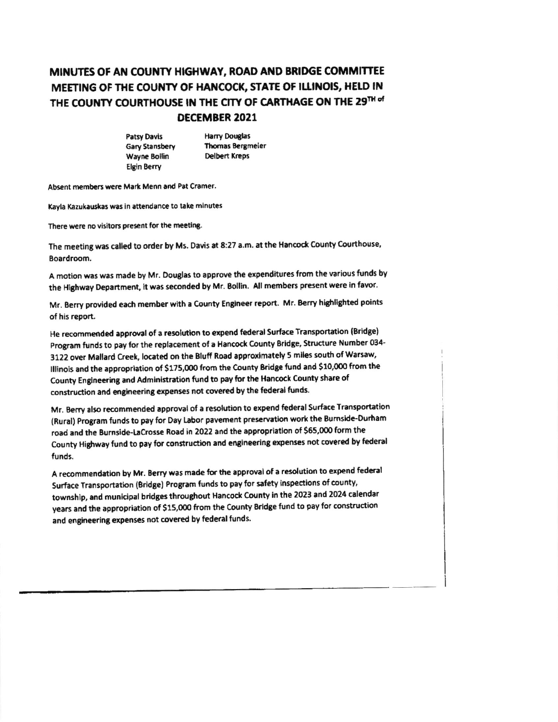## MINUTES OF AN COUNTY HIGHWAY, ROAD AND BRIDGE COMMITTEE MEETING OF THE COUNTY OF HANCOCK, STATE OF ILLINOIS, HELD IN THE COUNTY COURTHOUSE IN THE CITY OF CARTHAGE ON THE 29TH of DECEMBER 2021

**Patsy Davis** Gary Stansbery Wayne Bollin **Elgin Berry** 

**Harry Douglas Thomas Bergmeier Delbert Kreps** 

Absent members were Mark Menn and Pat Cramer.

Kayla Kazukauskas was in attendance to take minutes

There were no visitors present for the meeting.

The meeting was called to order by Ms. Davis at 8:27 a.m. at the Hancock County Courthouse, Boardroom.

A motion was was made by Mr. Douglas to approve the expenditures from the various funds by the Highway Department, it was seconded by Mr. Bollin. All members present were in favor.

Mr. Berry provided each member with a County Engineer report. Mr. Berry highlighted points of his report.

He recommended approval of a resolution to expend federal Surface Transportation (Bridge) Program funds to pay for the replacement of a Hancock County Bridge, Structure Number 034-3122 over Mallard Creek, located on the Bluff Road approximately 5 miles south of Warsaw, Illinois and the appropriation of \$175,000 from the County Bridge fund and \$10,000 from the County Engineering and Administration fund to pay for the Hancock County share of construction and engineering expenses not covered by the federal funds.

Mr. Berry also recommended approval of a resolution to expend federal Surface Transportation (Rural) Program funds to pay for Day Labor pavement preservation work the Burnside-Durham road and the Burnside-LaCrosse Road in 2022 and the appropriation of \$65,000 form the County Highway fund to pay for construction and engineering expenses not covered by federal funds.

A recommendation by Mr. Berry was made for the approval of a resolution to expend federal Surface Transportation (Bridge) Program funds to pay for safety inspections of county, township, and municipal bridges throughout Hancock County in the 2023 and 2024 calendar years and the appropriation of \$15,000 from the County Bridge fund to pay for construction and engineering expenses not covered by federal funds.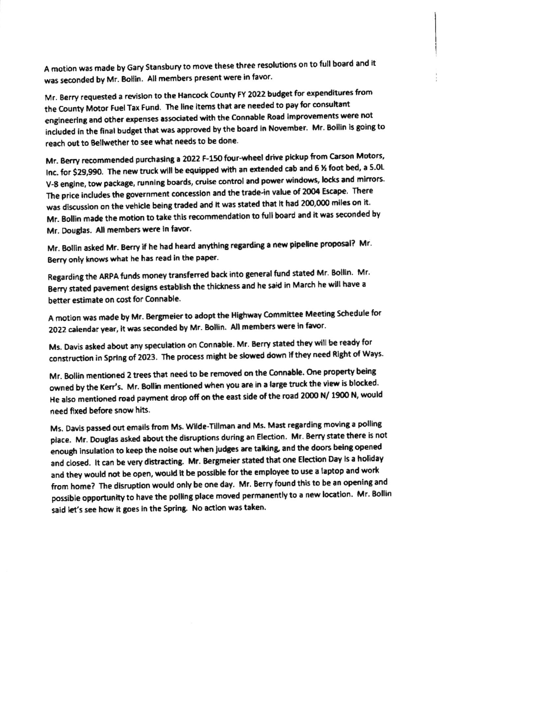A motion was made by Gary Stansbury to move these three resolutions on to full board and it was seconded by Mr. Bollin. All members present were in favor.

Mr. Berry requested a revision to the Hancock County FY 2022 budget for expenditures from the County Motor Fuel Tax Fund. The line items that are needed to pay for consultant engineering and other expenses associated with the Connable Road improvements were not included in the final budget that was approved by the board in November. Mr. Bollin is going to reach out to Bellwether to see what needs to be done.

Mr. Berry recommended purchasing a 2022 F-150 four-wheel drive pickup from Carson Motors, Inc. for \$29,990. The new truck will be equipped with an extended cab and 6 % foot bed, a 5.0L V-8 engine, tow package, running boards, cruise control and power windows, locks and mirrors. The price includes the government concession and the trade-in value of 2004 Escape. There was discussion on the vehicle being traded and it was stated that it had 200,000 miles on it. Mr. Bollin made the motion to take this recommendation to full board and it was seconded by Mr. Douglas. All members were in favor.

Mr. Bollin asked Mr. Berry if he had heard anything regarding a new pipeline proposal? Mr. Berry only knows what he has read in the paper.

Regarding the ARPA funds money transferred back into general fund stated Mr. Bollin. Mr. Berry stated pavement designs establish the thickness and he said in March he will have a better estimate on cost for Connable.

A motion was made by Mr. Bergmeier to adopt the Highway Committee Meeting Schedule for 2022 calendar year, it was seconded by Mr. Bollin. All members were in favor.

Ms. Davis asked about any speculation on Connable. Mr. Berry stated they will be ready for construction in Spring of 2023. The process might be slowed down if they need Right of Ways.

Mr. Bollin mentioned 2 trees that need to be removed on the Connable. One property being owned by the Kerr's. Mr. Bollin mentioned when you are in a large truck the view is blocked. He also mentioned road payment drop off on the east side of the road 2000 N/ 1900 N, would need fixed before snow hits.

Ms. Davis passed out emails from Ms. Wilde-Tillman and Ms. Mast regarding moving a polling place. Mr. Douglas asked about the disruptions during an Election. Mr. Berry state there is not enough insulation to keep the noise out when judges are talking, and the doors being opened and closed. It can be very distracting. Mr. Bergmeier stated that one Election Day is a holiday and they would not be open, would it be possible for the employee to use a laptop and work from home? The disruption would only be one day. Mr. Berry found this to be an opening and possible opportunity to have the polling place moved permanently to a new location. Mr. Bollin said let's see how it goes in the Spring. No action was taken.